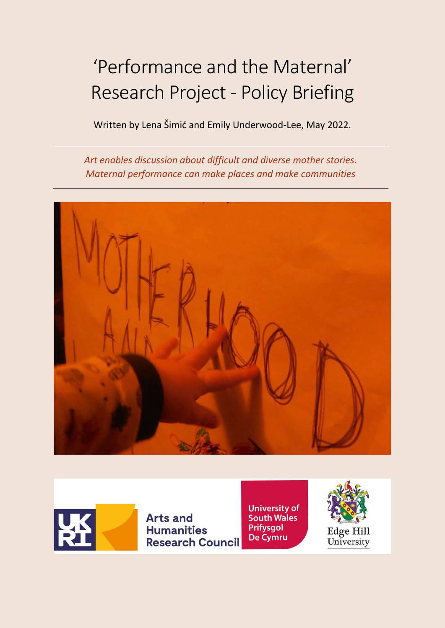# 'Performance and the Maternal' Research Project - Policy Briefing

Written by Lena Šimić and Emily Underwood-Lee, May 2022.

*Art enables discussion about difficult and diverse mother stories. Maternal performance can make places and make communities*





**Arts and Humanities Research Council**  **University of<br>South Wales Prifysgol** De Cymru



Edge Hill<br>University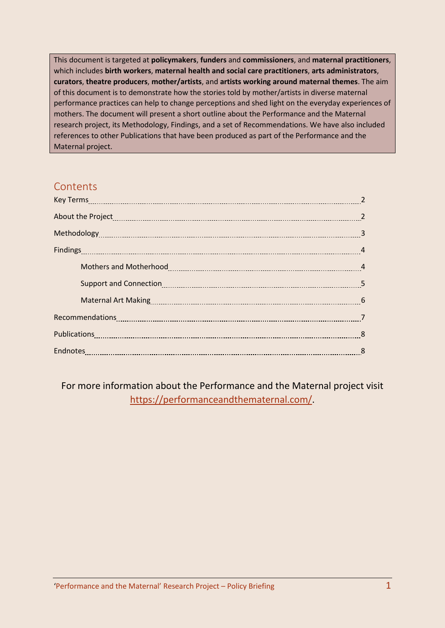This document is targeted at **policymakers**, **funders** and **commissioners**, and **maternal practitioners**, which includes **birth workers**, **maternal health and social care practitioners**, **arts administrators**, **curators**, **theatre producers**, **mother/artists**, and **artists working around maternal themes**. The aim of this document is to demonstrate how the stories told by mother/artists in diverse maternal performance practices can help to change perceptions and shed light on the everyday experiences of mothers. The document will present a short outline about the Performance and the Maternal research project, its Methodology, Findings, and a set of Recommendations. We have also included references to other Publications that have been produced as part of the Performance and the Maternal project.

# **Contents**

| About the Project <u>manual measure and a series of the Project manual measure and a series of the Project</u> |   |
|----------------------------------------------------------------------------------------------------------------|---|
|                                                                                                                |   |
|                                                                                                                |   |
| Mothers and Motherhood [11] Mother and Motherhood [11] Mothers and Motherhood [11] Mothers and A               |   |
|                                                                                                                |   |
|                                                                                                                |   |
|                                                                                                                |   |
|                                                                                                                |   |
|                                                                                                                | 8 |

For more information about the Performance and the Maternal project visit <https://performanceandthematernal.com/>.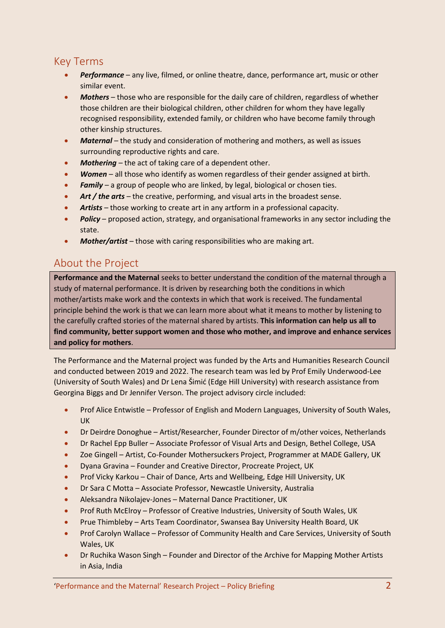# Key Terms

- *Performance* any live, filmed, or online theatre, dance, performance art, music or other similar event.
- *Mothers* those who are responsible for the daily care of children, regardless of whether those children are their biological children, other children for whom they have legally recognised responsibility, extended family, or children who have become family through other kinship structures.
- *Maternal* the study and consideration of mothering and mothers, as well as issues surrounding reproductive rights and care.
- *Mothering* the act of taking care of a dependent other.
- *Women* all those who identify as women regardless of their gender assigned at birth.
- *Family* a group of people who are linked, by legal, biological or chosen ties.
- Art / the arts the creative, performing, and visual arts in the broadest sense.
- *Artists* those working to create art in any artform in a professional capacity.
- *Policy* proposed action, strategy, and organisational frameworks in any sector including the state.
- *Mother/artist* those with caring responsibilities who are making art.

#### About the Project

**Performance and the Maternal** seeks to better understand the condition of the maternal through a study of maternal performance. It is driven by researching both the conditions in which mother/artists make work and the contexts in which that work is received. The fundamental principle behind the work is that we can learn more about what it means to mother by listening to the carefully crafted stories of the maternal shared by artists. **This information can help us all to find community, better support women and those who mother, and improve and enhance services and policy for mothers**.

The Performance and the Maternal project was funded by the Arts and Humanities Research Council and conducted between 2019 and 2022. The research team was led by Prof Emily Underwood-Lee (University of South Wales) and Dr Lena Šimić (Edge Hill University) with research assistance from Georgina Biggs and Dr Jennifer Verson. The project advisory circle included:

- Prof Alice Entwistle Professor of English and Modern Languages, University of South Wales, UK
- Dr Deirdre Donoghue Artist/Researcher, Founder Director of m/other voices, Netherlands
- Dr Rachel Epp Buller Associate Professor of Visual Arts and Design, Bethel College, USA
- Zoe Gingell Artist, Co-Founder Mothersuckers Project, Programmer at MADE Gallery, UK
- Dyana Gravina Founder and Creative Director, Procreate Project, UK
- Prof Vicky Karkou Chair of Dance, Arts and Wellbeing, Edge Hill University, UK
- Dr Sara C Motta Associate Professor, Newcastle University, Australia
- Aleksandra Nikolajev-Jones Maternal Dance Practitioner, UK
- Prof Ruth McElroy Professor of Creative Industries, University of South Wales, UK
- Prue Thimbleby Arts Team Coordinator, Swansea Bay University Health Board, UK
- Prof Carolyn Wallace Professor of Community Health and Care Services, University of South Wales, UK
- Dr Ruchika Wason Singh Founder and Director of the Archive for Mapping Mother Artists in Asia, India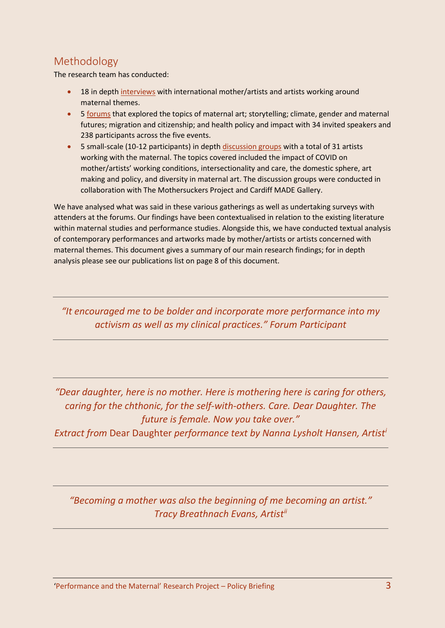# Methodology

The research team has conducted:

- 18 in dept[h interviews](https://performanceandthematernal.com/mother-artist-interviews/) with international mother/artists and artists working around maternal themes.
- 5 [forums](https://performanceandthematernal.files.wordpress.com/2021/06/maternal-forums-aprill-english-version-no-video.pdf) that explored the topics of maternal art; storytelling; climate, gender and maternal futures; migration and citizenship; and health policy and impact with 34 invited speakers and 238 participants across the five events.
- 5 small-scale (10-12 participants) in dept[h discussion groups](https://performanceandthematernal.com/ma-fan/) with a total of 31 artists working with the maternal. The topics covered included the impact of COVID on mother/artists' working conditions, intersectionality and care, the domestic sphere, art making and policy, and diversity in maternal art. The discussion groups were conducted in collaboration with The Mothersuckers Project and Cardiff MADE Gallery.

We have analysed what was said in these various gatherings as well as undertaking surveys with attenders at the forums. Our findings have been contextualised in relation to the existing literature within maternal studies and performance studies. Alongside this, we have conducted textual analysis of contemporary performances and artworks made by mother/artists or artists concerned with maternal themes. This document gives a summary of our main research findings; for in depth analysis please see our publications list on page 8 of this document.

*"It encouraged me to be bolder and incorporate more performance into my activism as well as my clinical practices." Forum Participant*

*"Dear daughter, here is no mother. Here is mothering here is caring for others, caring for the chthonic, for the self-with-others. Care. Dear Daughter. The future is female. Now you take over."* 

*Extract from* Dear Daughter *performance text by Nanna Lysholt Hansen, Artist[i](#page-8-0)* 

*"Becoming a mother was also the beginning of me becoming an artist." Tracy Breathnach Evans, Artist[ii](#page-8-1)*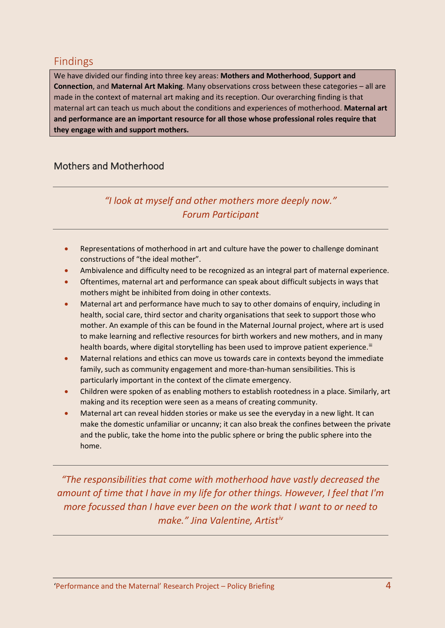#### Findings

We have divided our finding into three key areas: **Mothers and Motherhood**, **Support and Connection**, and **Maternal Art Making**. Many observations cross between these categories – all are made in the context of maternal art making and its reception. Our overarching finding is that maternal art can teach us much about the conditions and experiences of motherhood. **Maternal art and performance are an important resource for all those whose professional roles require that they engage with and support mothers.**

#### Mothers and Motherhood

## *"I look at myself and other mothers more deeply now." Forum Participant*

- Representations of motherhood in art and culture have the power to challenge dominant constructions of "the ideal mother".
- Ambivalence and difficulty need to be recognized as an integral part of maternal experience.
- Oftentimes, maternal art and performance can speak about difficult subjects in ways that mothers might be inhibited from doing in other contexts.
- Maternal art and performance have much to say to other domains of enquiry, including in health, social care, third sector and charity organisations that seek to support those who mother. An example of this can be found in the Maternal Journal project, where art is used to make learning and reflective resources for birth workers and new mothers, and in many health boards, where digital storytelling has been used to improve patient experience.<sup>[iii](#page-8-2)</sup>
- Maternal relations and ethics can move us towards care in contexts beyond the immediate family, such as community engagement and more-than-human sensibilities. This is particularly important in the context of the climate emergency.
- Children were spoken of as enabling mothers to establish rootedness in a place. Similarly, art making and its reception were seen as a means of creating community.
- Maternal art can reveal hidden stories or make us see the everyday in a new light. It can make the domestic unfamiliar or uncanny; it can also break the confines between the private and the public, take the home into the public sphere or bring the public sphere into the home.

*"The responsibilities that come with motherhood have vastly decreased the amount of time that I have in my life for other things. However, I feel that I'm more focussed than I have ever been on the work that I want to or need to make." Jina Valentine, Artist[iv](#page-8-3)*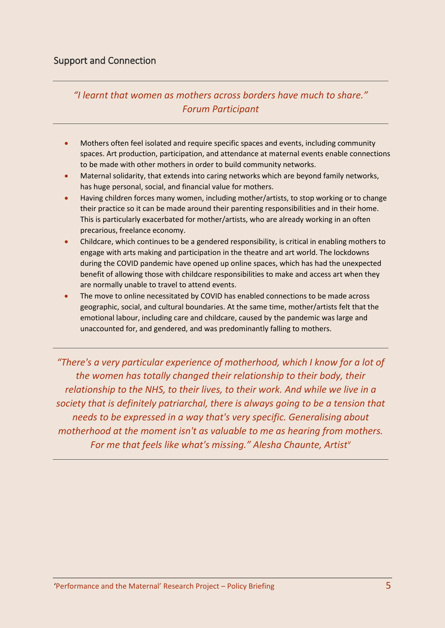*"I learnt that women as mothers across borders have much to share." Forum Participant*

- Mothers often feel isolated and require specific spaces and events, including community spaces. Art production, participation, and attendance at maternal events enable connections to be made with other mothers in order to build community networks.
- Maternal solidarity, that extends into caring networks which are beyond family networks, has huge personal, social, and financial value for mothers.
- Having children forces many women, including mother/artists, to stop working or to change their practice so it can be made around their parenting responsibilities and in their home. This is particularly exacerbated for mother/artists, who are already working in an often precarious, freelance economy.
- Childcare, which continues to be a gendered responsibility, is critical in enabling mothers to engage with arts making and participation in the theatre and art world. The lockdowns during the COVID pandemic have opened up online spaces, which has had the unexpected benefit of allowing those with childcare responsibilities to make and access art when they are normally unable to travel to attend events.
- The move to online necessitated by COVID has enabled connections to be made across geographic, social, and cultural boundaries. At the same time, mother/artists felt that the emotional labour, including care and childcare, caused by the pandemic was large and unaccounted for, and gendered, and was predominantly falling to mothers.

*"There's a very particular experience of motherhood, which I know for a lot of the women has totally changed their relationship to their body, their relationship to the NHS, to their lives, to their work. And while we live in a society that is definitely patriarchal, there is always going to be a tension that needs to be expressed in a way that's very specific. Generalising about motherhood at the moment isn't as valuable to me as hearing from mothers. For me that feels like what's missing." Alesha Chaunte, Artis[tv](#page-8-4)*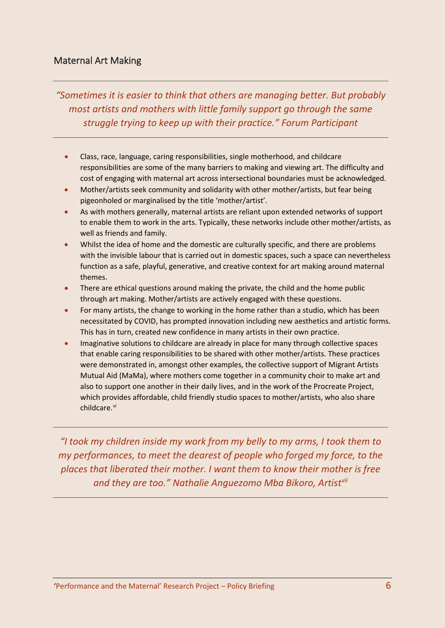#### Maternal Art Making

*"Sometimes it is easier to think that others are managing better. But probably most artists and mothers with little family support go through the same struggle trying to keep up with their practice." Forum Participant*

- Class, race, language, caring responsibilities, single motherhood, and childcare responsibilities are some of the many barriers to making and viewing art. The difficulty and cost of engaging with maternal art across intersectional boundaries must be acknowledged.
- Mother/artists seek community and solidarity with other mother/artists, but fear being pigeonholed or marginalised by the title 'mother/artist'.
- As with mothers generally, maternal artists are reliant upon extended networks of support to enable them to work in the arts. Typically, these networks include other mother/artists, as well as friends and family.
- Whilst the idea of home and the domestic are culturally specific, and there are problems with the invisible labour that is carried out in domestic spaces, such a space can nevertheless function as a safe, playful, generative, and creative context for art making around maternal themes.
- There are ethical questions around making the private, the child and the home public through art making. Mother/artists are actively engaged with these questions.
- For many artists, the change to working in the home rather than a studio, which has been necessitated by COVID, has prompted innovation including new aesthetics and artistic forms. This has in turn, created new confidence in many artists in their own practice.
- Imaginative solutions to childcare are already in place for many through collective spaces that enable caring responsibilities to be shared with other mother/artists. These practices were demonstrated in, amongst other examples, the collective support of Migrant Artists Mutual Aid (MaMa), where mothers come together in a community choir to make art and also to support one another in their daily lives, and in the work of the Procreate Project, which provides affordable, child friendly studio spaces to mother/artists, who also share childcare.<sup>[vi](#page-8-5)</sup>

*"I took my children inside my work from my belly to my arms, I took them to my performances, to meet the dearest of people who forged my force, to the places that liberated their mother. I want them to know their mother is free and they are too." Nathalie Anguezomo Mba Bikoro, Artist[vii](#page-8-6)*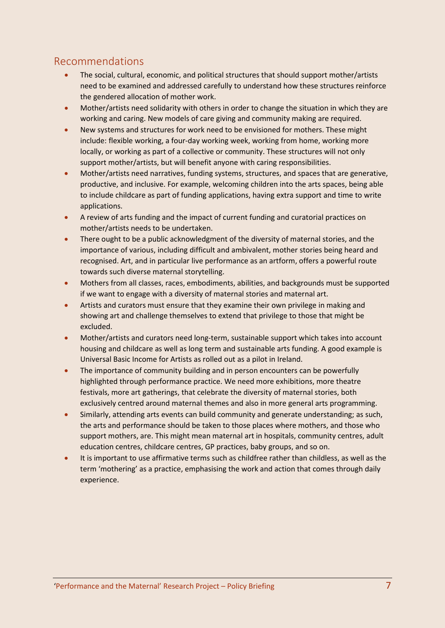### Recommendations

- The social, cultural, economic, and political structures that should support mother/artists need to be examined and addressed carefully to understand how these structures reinforce the gendered allocation of mother work.
- Mother/artists need solidarity with others in order to change the situation in which they are working and caring. New models of care giving and community making are required.
- New systems and structures for work need to be envisioned for mothers. These might include: flexible working, a four-day working week, working from home, working more locally, or working as part of a collective or community. These structures will not only support mother/artists, but will benefit anyone with caring responsibilities.
- Mother/artists need narratives, funding systems, structures, and spaces that are generative, productive, and inclusive. For example, welcoming children into the arts spaces, being able to include childcare as part of funding applications, having extra support and time to write applications.
- A review of arts funding and the impact of current funding and curatorial practices on mother/artists needs to be undertaken.
- There ought to be a public acknowledgment of the diversity of maternal stories, and the importance of various, including difficult and ambivalent, mother stories being heard and recognised. Art, and in particular live performance as an artform, offers a powerful route towards such diverse maternal storytelling.
- Mothers from all classes, races, embodiments, abilities, and backgrounds must be supported if we want to engage with a diversity of maternal stories and maternal art.
- Artists and curators must ensure that they examine their own privilege in making and showing art and challenge themselves to extend that privilege to those that might be excluded.
- Mother/artists and curators need long-term, sustainable support which takes into account housing and childcare as well as long term and sustainable arts funding. A good example is Universal Basic Income for Artists as rolled out as a pilot in Ireland.
- The importance of community building and in person encounters can be powerfully highlighted through performance practice. We need more exhibitions, more theatre festivals, more art gatherings, that celebrate the diversity of maternal stories, both exclusively centred around maternal themes and also in more general arts programming.
- Similarly, attending arts events can build community and generate understanding; as such, the arts and performance should be taken to those places where mothers, and those who support mothers, are. This might mean maternal art in hospitals, community centres, adult education centres, childcare centres, GP practices, baby groups, and so on.
- It is important to use affirmative terms such as childfree rather than childless, as well as the term 'mothering' as a practice, emphasising the work and action that comes through daily experience.